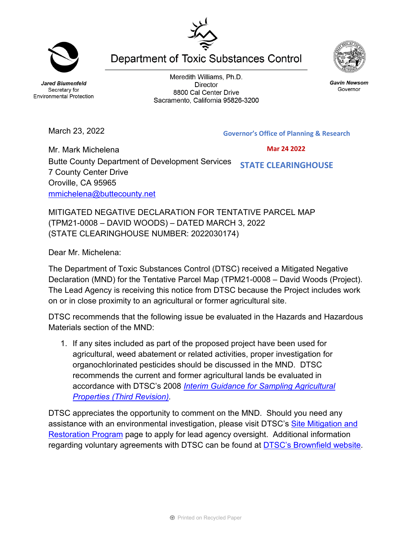**Jared Blumenfeld** Secretary for **Environmental Protection** 

March 23, 2022

Meredith Williams, Ph.D. **Director** 8800 Cal Center Drive Sacramento, California 95826-3200

**Department of Toxic Substances Control** 

**Governor's Office of Planning & Research**

Mr. Mark Michelena Butte County Department of Development Services 7 County Center Drive Oroville, CA 95965 [mmichelena@buttecounty.net](mailto:mmichelena@buttecounty.net)  **STATE CLEARINGHOUSE**

MITIGATED NEGATIVE DECLARATION FOR TENTATIVE PARCEL MAP (TPM21-0008 – DAVID WOODS) – DATED MARCH 3, 2022 (STATE CLEARINGHOUSE NUMBER: 2022030174)

Dear Mr. Michelena:

The Department of Toxic Substances Control (DTSC) received a Mitigated Negative Declaration (MND) for the Tentative Parcel Map (TPM21-0008 – David Woods (Project). The Lead Agency is receiving this notice from DTSC because the Project includes work on or in close proximity to an agricultural or former agricultural site.

DTSC recommends that the following issue be evaluated in the Hazards and Hazardous Materials section of the MND:

1. If any sites included as part of the proposed project have been used for agricultural, weed abatement or related activities, proper investigation for organochlorinated pesticides should be discussed in the MND. DTSC recommends the current and former agricultural lands be evaluated in accordance with DTSC's 2008 *[Interim Guidance for Sampling Agricultural](https://dtsc.ca.gov/wp-content/uploads/sites/31/2018/09/Ag-Guidance-Rev-3-August-7-2008-2.pdf)  [Properties \(Third Revision\).](https://dtsc.ca.gov/wp-content/uploads/sites/31/2018/09/Ag-Guidance-Rev-3-August-7-2008-2.pdf)*

DTSC appreciates the opportunity to comment on the MND. Should you need any assistance with an environmental investigation, please visit DTSC's [Site Mitigation and](https://dtsc.ca.gov/brownfields/voluntary-agreements-quick-reference-guide/) [Restoration Program](https://dtsc.ca.gov/brownfields/voluntary-agreements-quick-reference-guide/) page to apply for lead agency oversight. Additional information regarding voluntary agreements with DTSC can be found at [DTSC's Brownfield website.](https://dtsc.ca.gov/brownfields/)





**Gavin Newsom** 

Governor



 **Mar 24 2022**